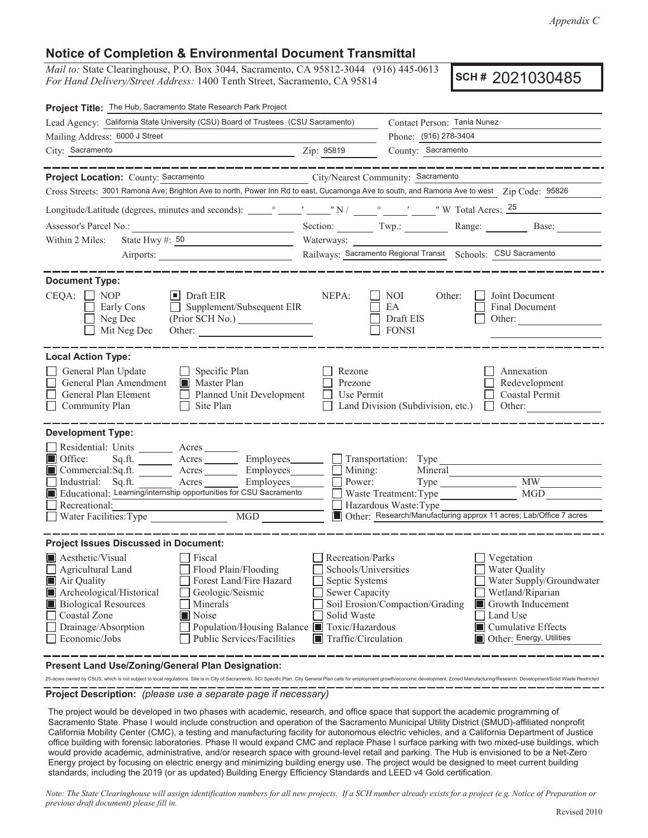*Appendix C*

## **Notice of Completion & Environmental Document Transmittal**

*Mail to:* State Clearinghouse, P.O. Box 3044, Sacramento, CA 95812-3044 (916) 445-0613 *For Hand Delivery/Street Address:* 1400 Tenth Street, Sacramento, CA 95814

**SCH# 20** 

| Project Title: 6RODB3DUN'HPROLWLR&URMHFV                                                                                                                                                                                                                                                                                                                           |                                                                                                                                       |                                                                                                                            |                                                                                                                                                                          |
|--------------------------------------------------------------------------------------------------------------------------------------------------------------------------------------------------------------------------------------------------------------------------------------------------------------------------------------------------------------------|---------------------------------------------------------------------------------------------------------------------------------------|----------------------------------------------------------------------------------------------------------------------------|--------------------------------------------------------------------------------------------------------------------------------------------------------------------------|
| Lead Agency: ■                                                                                                                                                                                                                                                                                                                                                     |                                                                                                                                       | Contact Person:                                                                                                            |                                                                                                                                                                          |
| Mailing Address: ■<br>the contract of the contract of the contract of the contract of the contract of                                                                                                                                                                                                                                                              |                                                                                                                                       |                                                                                                                            | Phone: $\qquad \qquad$                                                                                                                                                   |
| $\frac{2}{\pi}$ $\frac{2}{\pi}$ $\frac{1}{\pi}$ $\frac{1}{\pi}$ $\frac{1}{\pi}$ $\frac{1}{\pi}$ $\frac{1}{\pi}$ $\frac{1}{\pi}$ $\frac{1}{\pi}$ $\frac{1}{\pi}$ $\frac{1}{\pi}$ $\frac{1}{\pi}$ $\frac{1}{\pi}$ $\frac{1}{\pi}$ $\frac{1}{\pi}$ $\frac{1}{\pi}$ $\frac{1}{\pi}$ $\frac{1}{\pi}$ $\frac{1}{\pi}$ $\frac{1}{\pi}$<br>City: $\blacksquare$            |                                                                                                                                       |                                                                                                                            | County: $\blacksquare$                                                                                                                                                   |
| _________________                                                                                                                                                                                                                                                                                                                                                  |                                                                                                                                       |                                                                                                                            | _________                                                                                                                                                                |
| Project Location: County: Yolo                                                                                                                                                                                                                                                                                                                                     |                                                                                                                                       | City/Nearest Community: ■                                                                                                  |                                                                                                                                                                          |
| Cross Streets: 20G'DKV5RDGDQG\$ERUHWKULMVRWKIWK\$ERUHWKDWHUZDDQGDORQJWK8QLRQ3DFLILF5DLOURDGWUDEHy Code:956                                                                                                                                                                                                                                                         |                                                                                                                                       |                                                                                                                            |                                                                                                                                                                          |
|                                                                                                                                                                                                                                                                                                                                                                    |                                                                                                                                       |                                                                                                                            |                                                                                                                                                                          |
|                                                                                                                                                                                                                                                                                                                                                                    |                                                                                                                                       |                                                                                                                            | Section: Twp.: Range: Base:                                                                                                                                              |
| State Hwy #DQG<br>Within 2 Miles:                                                                                                                                                                                                                                                                                                                                  | Waterways: Putah Creek                                                                                                                |                                                                                                                            |                                                                                                                                                                          |
| Airports: University Airport                                                                                                                                                                                                                                                                                                                                       | Railways: Union Pacfic                                                                                                                | Schools: UC Davis                                                                                                          |                                                                                                                                                                          |
| <b>Document Type:</b>                                                                                                                                                                                                                                                                                                                                              |                                                                                                                                       |                                                                                                                            |                                                                                                                                                                          |
| $CEQA: \Delta W$ NOP<br>$\Box$ Draft EIR<br>Early Cons<br>$\Box$ Supplement/Subsequent EIR<br>Neg Dec<br>Mit Neg Dec                                                                                                                                                                                                                                               | NEPA:                                                                                                                                 | NOI<br>Other:<br>EA<br>Draft EIS<br>$\Box$ FONSI                                                                           | Joint Document<br>Final Document<br>Other:                                                                                                                               |
| <b>Local Action Type:</b><br>General Plan Update<br>$\Box$ Specific Plan<br>General Plan Amendment   Master Plan<br>General Plan Element Planned Unit Development<br>Community Plan<br>$\Box$ Site Plan                                                                                                                                                            | Rezone<br>Prezone<br>Use Permit                                                                                                       | Land Division (Subdivision, etc.)                                                                                          | Annexation<br>Redevelopment<br>Coastal Permit<br>$\Box$ Other:                                                                                                           |
| <b>Development Type:</b>                                                                                                                                                                                                                                                                                                                                           |                                                                                                                                       |                                                                                                                            |                                                                                                                                                                          |
| Residential: Units ________ Acres ______<br>Office:<br>Sq.ft. _________ Acres __________ Employees________ ___ Transportation: Type __________<br>Commercial:Sq.ft. ________ Acres ________ Employees _______ __<br>Industrial: Sq.ft. _______ Acres ________ Employees_______<br>Educational:<br>Recreational:<br>Water Facilities: Type MGD                      | Mining:<br>Power:                                                                                                                     | Mineral<br>Waste Treatment: Type<br>Hazardous Waste: Type<br>$\overline{X}$ Other: Demolition of the Solano Park buildings | MW<br>MGD                                                                                                                                                                |
| <b>Project Issues Discussed in Document:</b>                                                                                                                                                                                                                                                                                                                       |                                                                                                                                       |                                                                                                                            |                                                                                                                                                                          |
| Aesthetic/Visual<br><b>Fiscal</b><br>Flood Plain/Flooding<br>Agricultural Land<br>Forest Land/Fire Hazard<br>Air Quality<br>Archeological/Historical<br>$\overline{X}$<br>Geologic/Seismic<br><b>Biological Resources</b><br>Minerals<br>Coastal Zone<br>Noise<br>Drainage/Absorption<br>Population/Housing Balance<br>Public Services/Facilities<br>Economic/Jobs | Recreation/Parks<br>Schools/Universities<br>Septic Systems<br>Sewer Capacity<br>Solid Waste<br>Toxic/Hazardous<br>Traffic/Circulation | Soil Erosion/Compaction/Grading                                                                                            | Vegetation<br>Water Quality<br>Water Supply/Groundwater<br>Wetland/Riparian Growth<br>Inducement Land Use<br>Cumulative Effects Other:<br>Tribal cultural resources<br>M |
| Present Land Use/Zoning/General Plan Designation:<br><b>HLOMGD SCHRALDRA DLARDEHMRSPHDQ</b>                                                                                                                                                                                                                                                                        |                                                                                                                                       |                                                                                                                            |                                                                                                                                                                          |

**Project Description:** *(please use a separate page if necessary)*

Solano Park is a housing development, built in 1962 that consists of 26 two-and three-story multi-unit apartment buildings, a community center, and ancillary buildings for mail, laundry, storage, and maintenance. The apartments and all associated buildings are currently vacant.

The Project would involve demolition of the UC Davis Solano Park Student Housing Development, including the removal of all existing buildings, removal or modification of surface and subsurface infrastructure, and the establishment of a management plan for the site after the demolition activities. Future development of the site is not currently proposed.

Note: The State Clearinghouse will assign identification numbers for all new projects. If a SCH number already exists for a project (e.g. Notice of Preparation *or previous draft document) please fill in.*